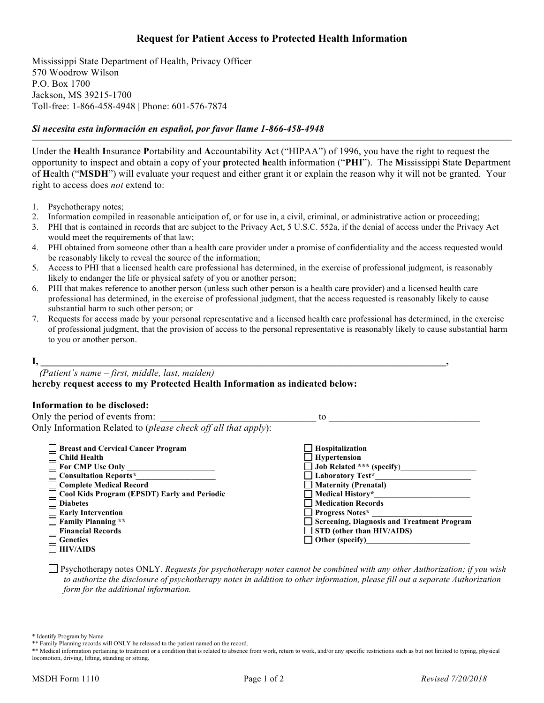## **Request for Patient Access to Protected Health Information**

Mississippi State Department of Health, Privacy Officer 570 Woodrow Wilson P.O. Box 1700 Jackson, MS 39215-1700 Toll-free: 1-866-458-4948 | Phone: 601-576-7874

#### *Si necesita esta información en español, por favor llame 1-866-458-4948*

Under the **H**ealth **I**nsurance **P**ortability and **A**ccountability **A**ct ("HIPAA") of 1996, you have the right to request the opportunity to inspect and obtain a copy of your **p**rotected **h**ealth **i**nformation ("**PHI**"). The **M**ississippi **S**tate **D**epartment of **H**ealth ("**MSDH**") will evaluate your request and either grant it or explain the reason why it will not be granted. Your right to access does *not* extend to:

- 1. Psychotherapy notes;
- 2. Information compiled in reasonable anticipation of, or for use in, a civil, criminal, or administrative action or proceeding;
- 3. PHI that is contained in records that are subject to the Privacy Act, 5 U.S.C. 552a, if the denial of access under the Privacy Act would meet the requirements of that law;
- 4. PHI obtained from someone other than a health care provider under a promise of confidentiality and the access requested would be reasonably likely to reveal the source of the information;
- 5. Access to PHI that a licensed health care professional has determined, in the exercise of professional judgment, is reasonably likely to endanger the life or physical safety of you or another person;
- 6. PHI that makes reference to another person (unless such other person is a health care provider) and a licensed health care professional has determined, in the exercise of professional judgment, that the access requested is reasonably likely to cause substantial harm to such other person; or
- 7. Requests for access made by your personal representative and a licensed health care professional has determined, in the exercise of professional judgment, that the provision of access to the personal representative is reasonably likely to cause substantial harm to you or another person.

#### **I, \_\_\_\_\_\_\_\_\_\_\_\_\_\_\_\_\_\_\_\_\_\_\_\_\_\_\_\_\_\_\_\_\_\_\_\_\_\_\_\_\_\_\_\_\_\_\_\_\_\_\_\_\_\_\_\_\_\_\_\_\_\_\_\_\_\_\_\_\_\_\_\_\_\_\_\_\_\_\_\_\_\_\_,**

 *(Patient's name – first, middle, last, maiden)* **hereby request access to my Protected Health Information as indicated below:**

#### **Information to be disclosed:**

Only the period of events from: \_\_\_\_\_\_\_\_\_\_\_\_\_\_\_\_\_\_\_\_\_\_\_\_\_\_\_\_\_\_\_\_ to \_\_\_\_\_\_\_\_\_\_\_\_\_\_\_\_\_\_\_\_\_\_\_\_\_\_\_\_\_\_\_ Only Information Related to (*please check off all that apply*):

| <b>Breast and Cervical Cancer Program</b>           | $\Box$ Hospitalization                     |
|-----------------------------------------------------|--------------------------------------------|
| $\Box$ Child Health                                 | $\Box$ Hypertension                        |
| $\Box$ For CMP Use Only                             | $\Box$ Job Related *** (specify)           |
| $\Box$ Consultation Reports*                        | $\Box$ Laboratory Test*                    |
| □ Complete Medical Record                           | $\Box$ Maternity (Prenatal)                |
| $\Box$ Cool Kids Program (EPSDT) Early and Periodic | $\Box$ Medical History*                    |
| $\Box$ Diabetes                                     | Medication Records                         |
| $\Box$ Early Intervention                           | $\Box$ Progress Notes*                     |
| Family Planning **                                  | Screening, Diagnosis and Treatment Program |
| $\Box$ Financial Records                            | $\Box$ STD (other than HIV/AIDS)           |
| Genetics                                            | $\Box$ Other (specify)                     |
| $\Box$ HIV/AIDS                                     |                                            |

 Psychotherapy notes ONLY. *Requests for psychotherapy notes cannot be combined with any other Authorization; if you wish to authorize the disclosure of psychotherapy notes in addition to other information, please fill out a separate Authorization form for the additional information.*

\* Identify Program by Name

<sup>\*\*</sup> Family Planning records will ONLY be released to the patient named on the record.

<sup>\*\*</sup> Medical information pertaining to treatment or a condition that is related to absence from work, return to work, and/or any specific restrictions such as but not limited to typing, physical locomotion, driving, lifting, standing or sitting.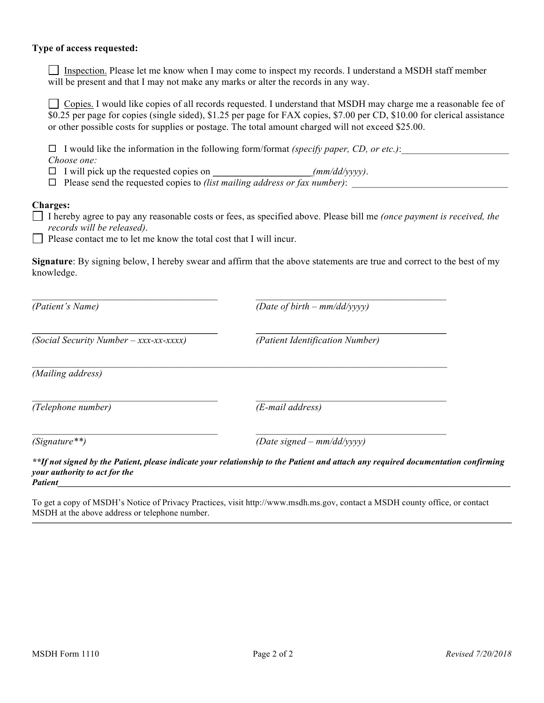#### **Type of access requested:**

Inspection. Please let me know when I may come to inspect my records. I understand a MSDH staff member will be present and that I may not make any marks or alter the records in any way.

Copies. I would like copies of all records requested. I understand that MSDH may charge me a reasonable fee of \$0.25 per page for copies (single sided), \$1.25 per page for FAX copies, \$7.00 per CD, \$10.00 for clerical assistance or other possible costs for supplies or postage. The total amount charged will not exceed \$25.00.

 $\Box$  I would like the information in the following form/format *(specify paper, CD, or etc.)*: *Choose one:*

 $\Box$  I will pick up the requested copies on \_\_\_\_\_\_\_\_\_\_\_\_\_\_\_\_\_\_\_\_\_\_\_*(mm/dd/yyyy)*.

! Please send the requested copies to *(list mailing address or fax number)*: \_\_\_\_\_\_\_\_\_\_\_\_\_\_\_\_\_\_\_\_\_\_\_\_\_\_\_\_\_\_\_\_

#### **Charges:**

I hereby agree to pay any reasonable costs or fees, as specified above. Please bill me *(once payment is received, the records will be released)*.

Please contact me to let me know the total cost that I will incur.

**Signature**: By signing below, I hereby swear and affirm that the above statements are true and correct to the best of my knowledge.

| (Patient's Name)                                | (Date of birth $-$ mm/dd/yyyy)                                                                                                    |
|-------------------------------------------------|-----------------------------------------------------------------------------------------------------------------------------------|
| $(Social Security Number - xxx-xxxxx)$          | (Patient Identification Number)                                                                                                   |
| (Mailing address)                               |                                                                                                                                   |
| (Telephone number)                              | (E-mail address)                                                                                                                  |
| $(Signature**)$                                 | (Date signed – $mm/dd/yyyy$ )                                                                                                     |
| your authority to act for the<br><b>Patient</b> | **If not signed by the Patient, please indicate your relationship to the Patient and attach any required documentation confirming |

To get a copy of MSDH's Notice of Privacy Practices, visit http://www.msdh.ms.gov, contact a MSDH county office, or contact MSDH at the above address or telephone number.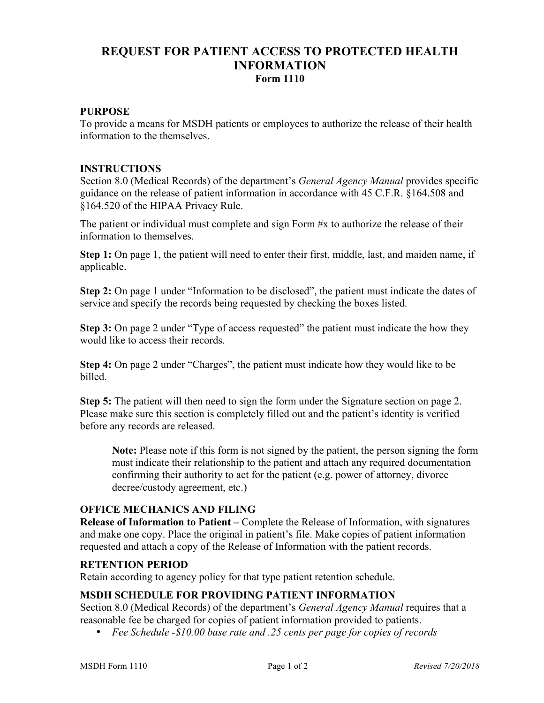# **REQUEST FOR PATIENT ACCESS TO PROTECTED HEALTH INFORMATION Form 1110**

## **PURPOSE**

To provide a means for MSDH patients or employees to authorize the release of their health information to the themselves.

### **INSTRUCTIONS**

Section 8.0 (Medical Records) of the department's *General Agency Manual* provides specific guidance on the release of patient information in accordance with 45 C.F.R. §164.508 and §164.520 of the HIPAA Privacy Rule.

The patient or individual must complete and sign Form #x to authorize the release of their information to themselves.

**Step 1:** On page 1, the patient will need to enter their first, middle, last, and maiden name, if applicable.

**Step 2:** On page 1 under "Information to be disclosed", the patient must indicate the dates of service and specify the records being requested by checking the boxes listed.

**Step 3:** On page 2 under "Type of access requested" the patient must indicate the how they would like to access their records.

**Step 4:** On page 2 under "Charges", the patient must indicate how they would like to be billed.

**Step 5:** The patient will then need to sign the form under the Signature section on page 2. Please make sure this section is completely filled out and the patient's identity is verified before any records are released.

**Note:** Please note if this form is not signed by the patient, the person signing the form must indicate their relationship to the patient and attach any required documentation confirming their authority to act for the patient (e.g. power of attorney, divorce decree/custody agreement, etc.)

## **OFFICE MECHANICS AND FILING**

**Release of Information to Patient –** Complete the Release of Information, with signatures and make one copy. Place the original in patient's file. Make copies of patient information requested and attach a copy of the Release of Information with the patient records.

#### **RETENTION PERIOD**

Retain according to agency policy for that type patient retention schedule.

## **MSDH SCHEDULE FOR PROVIDING PATIENT INFORMATION**

Section 8.0 (Medical Records) of the department's *General Agency Manual* requires that a reasonable fee be charged for copies of patient information provided to patients.

• *Fee Schedule -\$10.00 base rate and .25 cents per page for copies of records*